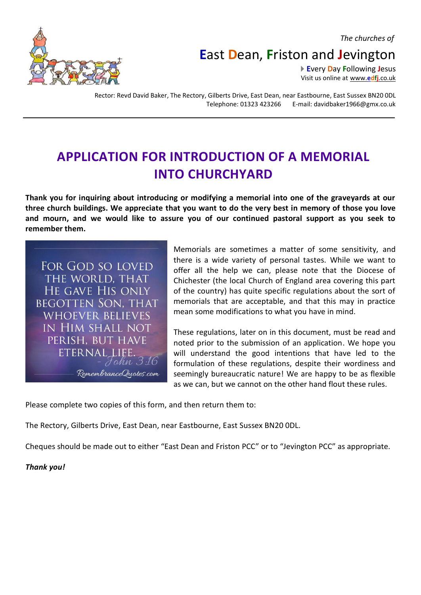*The churches of*



**E**ast **D**ean, **F**riston and **J**evington

**E**very **D**ay **F**ollowing **J**esus Visit us online at www.**edfj**[.co.uk](http://www.eastdeanvillage.org.uk/church)

Rector: Revd David Baker, The Rectory, Gilberts Drive, East Dean, near Eastbourne, East Sussex BN20 0DL Telephone: 01323 423266 E-mail: davidbaker1966@gmx.co.uk

# **APPLICATION FOR INTRODUCTION OF A MEMORIAL INTO CHURCHYARD**

**Thank you for inquiring about introducing or modifying a memorial into one of the graveyards at our three church buildings. We appreciate that you want to do the very best in memory of those you love and mourn, and we would like to assure you of our continued pastoral support as you seek to remember them.** 

**FOR GOD SO LOVED** THE WORLD, THAT HE GAVE HIS ONLY **BEGOTTEN SON, THAT WHOEVER BELIEVES** IN HIM SHALL NOT PERISH. BUT HAVE ETERNAL LIFE.<br>- John 3:16 RemembranceQuotes.com

Memorials are sometimes a matter of some sensitivity, and there is a wide variety of personal tastes. While we want to offer all the help we can, please note that the Diocese of Chichester (the local Church of England area covering this part of the country) has quite specific regulations about the sort of memorials that are acceptable, and that this may in practice mean some modifications to what you have in mind.

These regulations, later on in this document, must be read and noted prior to the submission of an application. We hope you will understand the good intentions that have led to the formulation of these regulations, despite their wordiness and seemingly bureaucratic nature! We are happy to be as flexible as we can, but we cannot on the other hand flout these rules.

Please complete two copies of this form, and then return them to:

The Rectory, Gilberts Drive, East Dean, near Eastbourne, East Sussex BN20 0DL.

Cheques should be made out to either "East Dean and Friston PCC" or to "Jevington PCC" as appropriate.

*Thank you!*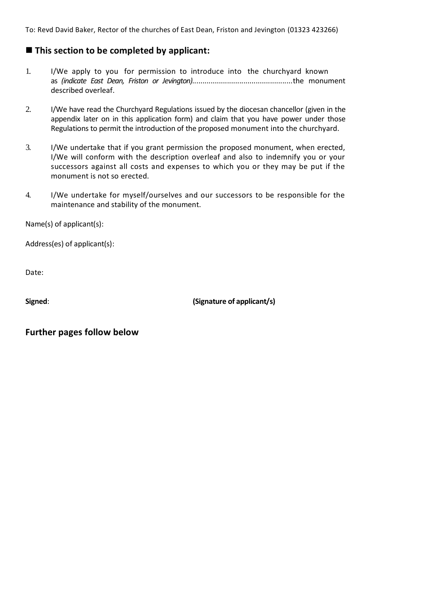To: Revd David Baker, Rector of the churches of East Dean, Friston and Jevington (01323 423266)

### ■ This section to be completed by applicant:

- 1. I/We apply to you for permission to introduce into the churchyard known as *(indicate East Dean, Friston or Jevington)*.................................................the monument described overleaf.
- 2. I/We have read the Churchyard Regulations issued by the diocesan chancellor (given in the appendix later on in this application form) and claim that you have power under those Regulations to permit the introduction of the proposed monument into the churchyard.
- 3. I/We undertake that if you grant permission the proposed monument, when erected, I/We will conform with the description overleaf and also to indemnify you or your successors against all costs and expenses to which you or they may be put if the monument is not so erected.
- 4. I/We undertake for myself/ourselves and our successors to be responsible for the maintenance and stability of the monument.

Name(s) of applicant(s):

Address(es) of applicant(s):

Date:

**Signed**: **(Signature of applicant/s)**

**Further pages follow below**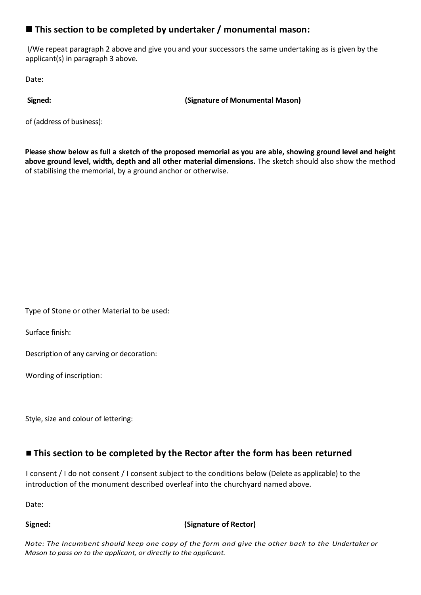# **This section to be completed by undertaker / monumental mason:**

I/We repeat paragraph 2 above and give you and your successors the same undertaking as is given by the applicant(s) in paragraph 3 above.

Date:

**Signed: (Signature of Monumental Mason)**

of (address of business):

**Please show below as full a sketch of the proposed memorial as you are able, showing ground level and height above ground level, width, depth and all other material dimensions.** The sketch should also show the method of stabilising the memorial, by a ground anchor or otherwise.

Type of Stone or other Material to be used:

Surface finish:

Description of any carving or decoration:

Wording of inscription:

Style, size and colour of lettering:

## **This section to be completed by the Rector after the form has been returned**

I consent / I do not consent / I consent subject to the conditions below (Delete as applicable) to the introduction of the monument described overleaf into the churchyard named above.

Date:

#### **Signed: (Signature of Rector)**

*Note: The Incumbent should keep one copy of the form and give the other back to the Undertaker or Mason to pass on to the applicant, or directly to the applicant.*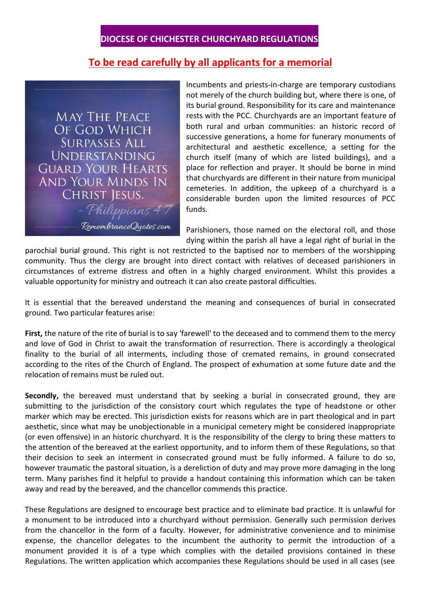# **DIOCESE OF CHICHESTER CHURCHYARD REGULATIONS**

# **To be read carefully by all applicants for a memorial**

**MAY THE PEACE** OF GOD WHICH SURPASSES ALL **UNDERSTANDING GUARD YOUR HEARTS AND YOUR MINDS IN** CHRIST JESUS. - Philippians 4:7 RemembranceQuotes.com

Incumbents and priests-in-charge are temporary custodians not merely of the church building but, where there is one, of its burial ground. Responsibility for its care and maintenance rests with the PCC. Churchyards are an important feature of both rural and urban communities: an historic record of successive generations, a home for funerary monuments of architectural and aesthetic excellence, a setting for the church itself (many of which are listed buildings), and a place for reflection and prayer. It should be borne in mind that churchyards are different in their nature from municipal cemeteries. In addition, the upkeep of a churchyard is a considerable burden upon the limited resources of PCC funds.

Parishioners, those named on the electoral roll, and those dying within the parish all have a legal right of burial in the

parochial burial ground. This right is not restricted to the baptised nor to members of the worshipping community. Thus the clergy are brought into direct contact with relatives of deceased parishioners in circumstances of extreme distress and often in a highly charged environment. Whilst this provides a valuable opportunity for ministry and outreach it can also create pastoral difficulties.

It is essential that the bereaved understand the meaning and consequences of burial in consecrated ground. Two particular features arise:

**First,** the nature of the rite of burial is to say 'farewell' to the deceased and to commend them to the mercy and love of God in Christ to await the transformation of resurrection. There is accordingly a theological finality to the burial of all interments, including those of cremated remains, in ground consecrated according to the rites of the Church of England. The prospect of exhumation at some future date and the relocation of remains must be ruled out.

Secondly, the bereaved must understand that by seeking a burial in consecrated ground, they are submitting to the jurisdiction of the consistory court which regulates the type of headstone or other marker which may be erected. This jurisdiction exists for reasons which are in part theological and in part aesthetic, since what may be unobjectionable in a municipal cemetery might be considered inappropriate (or even offensive) in an historic churchyard. It is the responsibility of the clergy to bring these matters to the attention of the bereaved at the earliest opportunity, and to inform them of these Regulations, so that their decision to seek an interment in consecrated ground must be fully informed. A failure to do so, however traumatic the pastoral situation, is a dereliction of duty and may prove more damaging in the long term. Many parishes find it helpful to provide a handout containing this information which can be taken away and read by the bereaved, and the chancellor commends this practice.

These Regulations are designed to encourage best practice and to eliminate bad practice. It is unlawful for a monument to be introduced into a churchyard without permission. Generally such permission derives from the chancellor in the form of a faculty. However, for administrative convenience and to minimise expense, the chancellor delegates to the incumbent the authority to permit the introduction of a monument provided it is of a type which complies with the detailed provisions contained in these Regulations. The written application which accompanies these Regulations should be used in all cases (see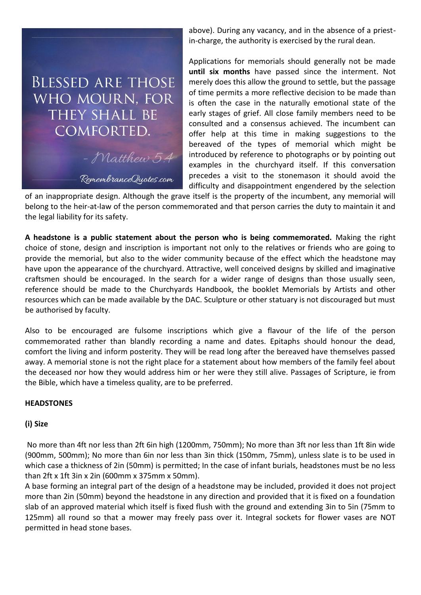

above). During any vacancy, and in the absence of a priestin-charge, the authority is exercised by the rural dean.

Applications for memorials should generally not be made **until six months** have passed since the interment. Not merely does this allow the ground to settle, but the passage of time permits a more reflective decision to be made than is often the case in the naturally emotional state of the early stages of grief. All close family members need to be consulted and a consensus achieved. The incumbent can offer help at this time in making suggestions to the bereaved of the types of memorial which might be introduced by reference to photographs or by pointing out examples in the churchyard itself. If this conversation precedes a visit to the stonemason it should avoid the difficulty and disappointment engendered by the selection

of an inappropriate design. Although the grave itself is the property of the incumbent, any memorial will belong to the heir-at-law of the person commemorated and that person carries the duty to maintain it and the legal liability for its safety.

**A headstone is a public statement about the person who is being commemorated.** Making the right choice of stone, design and inscription is important not only to the relatives or friends who are going to provide the memorial, but also to the wider community because of the effect which the headstone may have upon the appearance of the churchyard. Attractive, well conceived designs by skilled and imaginative craftsmen should be encouraged. In the search for a wider range of designs than those usually seen, reference should be made to the Churchyards Handbook, the booklet Memorials by Artists and other resources which can be made available by the DAC. Sculpture or other statuary is not discouraged but must be authorised by faculty.

Also to be encouraged are fulsome inscriptions which give a flavour of the life of the person commemorated rather than blandly recording a name and dates. Epitaphs should honour the dead, comfort the living and inform posterity. They will be read long after the bereaved have themselves passed away. A memorial stone is not the right place for a statement about how members of the family feel about the deceased nor how they would address him or her were they still alive. Passages of Scripture, ie from the Bible, which have a timeless quality, are to be preferred.

#### **HEADSTONES**

#### **(i) Size**

No more than 4ft nor less than 2ft 6in high (1200mm, 750mm); No more than 3ft nor less than 1ft 8in wide (900mm, 500mm); No more than 6in nor less than 3in thick (150mm, 75mm), unless slate is to be used in which case a thickness of 2in (50mm) is permitted; In the case of infant burials, headstones must be no less than 2ft x 1ft 3in x 2in (600mm x 375mm x 50mm).

A base forming an integral part of the design of a headstone may be included, provided it does not project more than 2in (50mm) beyond the headstone in any direction and provided that it is fixed on a foundation slab of an approved material which itself is fixed flush with the ground and extending 3in to 5in (75mm to 125mm) all round so that a mower may freely pass over it. Integral sockets for flower vases are NOT permitted in head stone bases.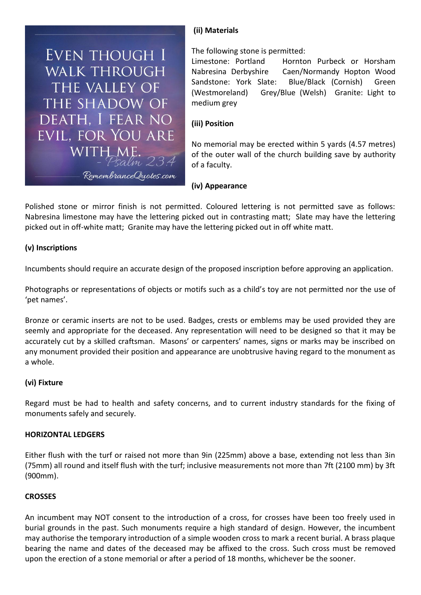### **(ii) Materials**

The following stone is permitted:

Limestone: Portland Hornton Purbeck or Horsham Nabresina Derbyshire Caen/Normandy Hopton Wood Sandstone: York Slate: Blue/Black (Cornish) Green (Westmoreland) Grey/Blue (Welsh) Granite: Light to medium grey

#### **(iii) Position**

No memorial may be erected within 5 yards (4.57 metres) of the outer wall of the church building save by authority of a faculty.

#### **(iv) Appearance**

Polished stone or mirror finish is not permitted. Coloured lettering is not permitted save as follows: Nabresina limestone may have the lettering picked out in contrasting matt; Slate may have the lettering picked out in off-white matt; Granite may have the lettering picked out in off white matt.

### **(v) Inscriptions**

EVEN THOUGH I

**WALK THROUGH** 

THE VALLEY OF

THE SHADOW OF

DEATH, I FEAR NO

EVIL, FOR YOU ARE

WITH ME.<br>- Psalm 23.4

RemembranceQuotes.com

Incumbents should require an accurate design of the proposed inscription before approving an application.

Photographs or representations of objects or motifs such as a child's toy are not permitted nor the use of 'pet names'.

Bronze or ceramic inserts are not to be used. Badges, crests or emblems may be used provided they are seemly and appropriate for the deceased. Any representation will need to be designed so that it may be accurately cut by a skilled craftsman. Masons' or carpenters' names, signs or marks may be inscribed on any monument provided their position and appearance are unobtrusive having regard to the monument as a whole.

#### **(vi) Fixture**

Regard must be had to health and safety concerns, and to current industry standards for the fixing of monuments safely and securely.

#### **HORIZONTAL LEDGERS**

Either flush with the turf or raised not more than 9in (225mm) above a base, extending not less than 3in (75mm) all round and itself flush with the turf; inclusive measurements not more than 7ft (2100 mm) by 3ft (900mm).

#### **CROSSES**

An incumbent may NOT consent to the introduction of a cross, for crosses have been too freely used in burial grounds in the past. Such monuments require a high standard of design. However, the incumbent may authorise the temporary introduction of a simple wooden cross to mark a recent burial. A brass plaque bearing the name and dates of the deceased may be affixed to the cross. Such cross must be removed upon the erection of a stone memorial or after a period of 18 months, whichever be the sooner.